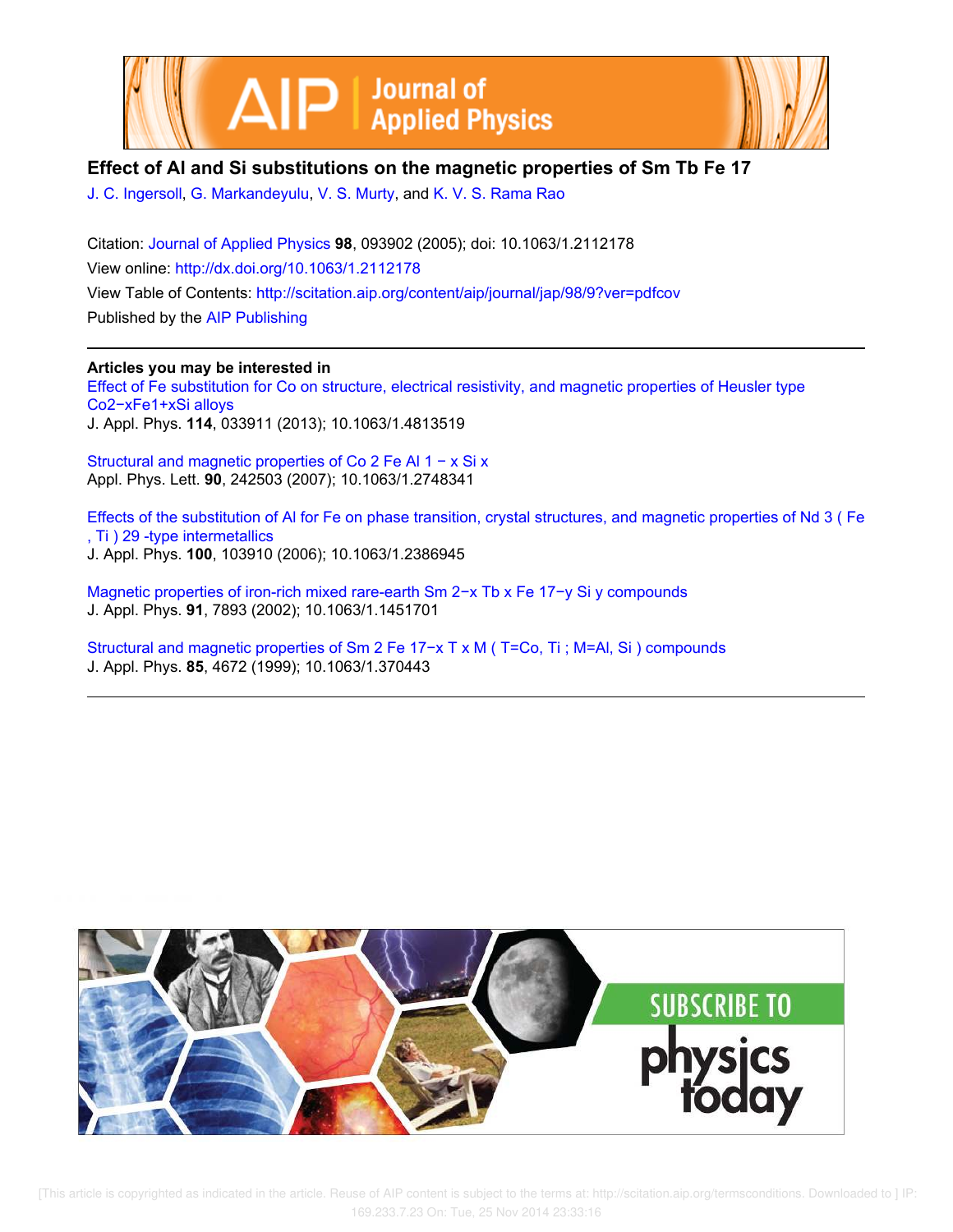



## **Effect of Al and Si substitutions on the magnetic properties of Sm Tb Fe 17**

J. C. Ingersoll, G. Markandeyulu, V. S. Murty, and K. V. S. Rama Rao

Citation: Journal of Applied Physics **98**, 093902 (2005); doi: 10.1063/1.2112178 View online: http://dx.doi.org/10.1063/1.2112178 View Table of Contents: http://scitation.aip.org/content/aip/journal/jap/98/9?ver=pdfcov Published by the AIP Publishing

## **Articles you may be interested in**

Effect of Fe substitution for Co on structure, electrical resistivity, and magnetic properties of Heusler type Co2−xFe1+xSi alloys J. Appl. Phys. **114**, 033911 (2013); 10.1063/1.4813519

Structural and magnetic properties of Co 2 Fe Al 1 − x Si x Appl. Phys. Lett. **90**, 242503 (2007); 10.1063/1.2748341

Effects of the substitution of Al for Fe on phase transition, crystal structures, and magnetic properties of Nd 3 ( Fe , Ti ) 29 -type intermetallics J. Appl. Phys. **100**, 103910 (2006); 10.1063/1.2386945

Magnetic properties of iron-rich mixed rare-earth Sm 2−x Tb x Fe 17−y Si y compounds J. Appl. Phys. **91**, 7893 (2002); 10.1063/1.1451701

Structural and magnetic properties of Sm 2 Fe 17−x T x M ( T=Co, Ti ; M=Al, Si ) compounds J. Appl. Phys. **85**, 4672 (1999); 10.1063/1.370443

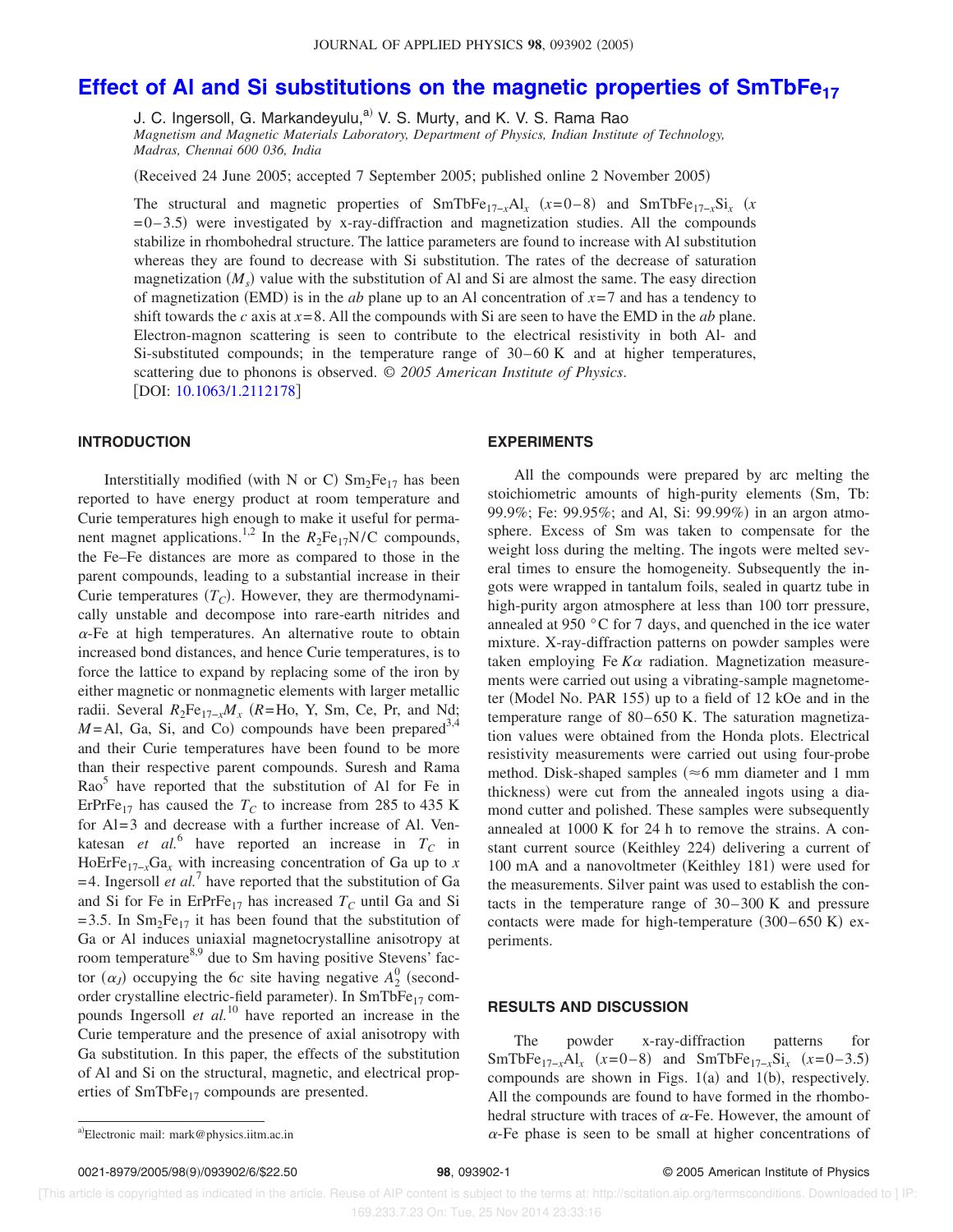# **Effect of Al and Si substitutions on the magnetic properties of SmTbFe<sup>17</sup>**

J. C. Ingersoll, G. Markandeyulu,<sup>a)</sup> V. S. Murty, and K. V. S. Rama Rao

*Magnetism and Magnetic Materials Laboratory, Department of Physics, Indian Institute of Technology, Madras, Chennai 600 036, India*

Received 24 June 2005; accepted 7 September 2005; published online 2 November 2005-

The structural and magnetic properties of SmTbFe<sub>17−*x*</sub>Al<sub>*x*</sub> (*x*=0–8) and SmTbFe<sub>17−*x*</sub>Si<sub>*x*</sub> (*x*  $= 0 - 3.5$ ) were investigated by x-ray-diffraction and magnetization studies. All the compounds stabilize in rhombohedral structure. The lattice parameters are found to increase with Al substitution whereas they are found to decrease with Si substitution. The rates of the decrease of saturation magnetization  $(M_s)$  value with the substitution of Al and Si are almost the same. The easy direction of magnetization (EMD) is in the *ab* plane up to an Al concentration of  $x=7$  and has a tendency to shift towards the *c* axis at  $x=8$ . All the compounds with Si are seen to have the EMD in the *ab* plane. Electron-magnon scattering is seen to contribute to the electrical resistivity in both Al- and Si-substituted compounds; in the temperature range of  $30-60$  K and at higher temperatures, scattering due to phonons is observed. © *2005 American Institute of Physics*. [DOI: 10.1063/1.2112178]

## **INTRODUCTION**

Interstitially modified (with N or C)  $Sm<sub>2</sub>Fe<sub>17</sub>$  has been reported to have energy product at room temperature and Curie temperatures high enough to make it useful for permanent magnet applications.<sup>1,2</sup> In the  $R_2Fe_{17}N/C$  compounds, the Fe–Fe distances are more as compared to those in the parent compounds, leading to a substantial increase in their Curie temperatures  $(T_C)$ . However, they are thermodynamically unstable and decompose into rare-earth nitrides and  $\alpha$ -Fe at high temperatures. An alternative route to obtain increased bond distances, and hence Curie temperatures, is to force the lattice to expand by replacing some of the iron by either magnetic or nonmagnetic elements with larger metallic radii. Several  $R_2Fe_{17-x}M_x$  ( $R=Ho$ , Y, Sm, Ce, Pr, and Nd;  $M =$ Al, Ga, Si, and Co) compounds have been prepared<sup>3,4</sup> and their Curie temperatures have been found to be more than their respective parent compounds. Suresh and Rama Rao<sup>5</sup> have reported that the substitution of Al for Fe in ErPrFe<sub>17</sub> has caused the  $T_C$  to increase from 285 to 435 K for Al=3 and decrease with a further increase of Al. Venkatesan *et al.*<sup>6</sup> have reported an increase in  $T_c$  in HoErFe<sub>17-*x*</sub>Ga<sub>*x*</sub> with increasing concentration of Ga up to *x*  $=$  4. Ingersoll *et al.*<sup>7</sup> have reported that the substitution of Ga and Si for Fe in ErPrFe<sub>17</sub> has increased  $T_C$  until Ga and Si = 3.5. In  $Sm<sub>2</sub>Fe<sub>17</sub>$  it has been found that the substitution of Ga or Al induces uniaxial magnetocrystalline anisotropy at room temperature<sup>8,9</sup> due to Sm having positive Stevens' factor  $(\alpha_j)$  occupying the 6*c* site having negative  $A_2^0$  (secondorder crystalline electric-field parameter). In SmTbFe<sub>17</sub> compounds Ingersoll *et al.*<sup>10</sup> have reported an increase in the Curie temperature and the presence of axial anisotropy with Ga substitution. In this paper, the effects of the substitution of Al and Si on the structural, magnetic, and electrical properties of SmTbFe<sub>17</sub> compounds are presented.

#### **EXPERIMENTS**

All the compounds were prepared by arc melting the stoichiometric amounts of high-purity elements (Sm, Tb: 99.9%; Fe: 99.95%; and Al, Si: 99.99%) in an argon atmosphere. Excess of Sm was taken to compensate for the weight loss during the melting. The ingots were melted several times to ensure the homogeneity. Subsequently the ingots were wrapped in tantalum foils, sealed in quartz tube in high-purity argon atmosphere at less than 100 torr pressure, annealed at 950 °C for 7 days, and quenched in the ice water mixture. X-ray-diffraction patterns on powder samples were taken employing Fe  $K\alpha$  radiation. Magnetization measurements were carried out using a vibrating-sample magnetometer (Model No. PAR 155) up to a field of 12 kOe and in the temperature range of 80–650 K. The saturation magnetization values were obtained from the Honda plots. Electrical resistivity measurements were carried out using four-probe method. Disk-shaped samples ( $\approx$ 6 mm diameter and 1 mm thickness) were cut from the annealed ingots using a diamond cutter and polished. These samples were subsequently annealed at 1000 K for 24 h to remove the strains. A constant current source (Keithley 224) delivering a current of 100 mA and a nanovoltmeter (Keithley 181) were used for the measurements. Silver paint was used to establish the contacts in the temperature range of 30– 300 K and pressure contacts were made for high-temperature  $(300-650 \text{ K})$  experiments.

## **RESULTS AND DISCUSSION**

The powder x-ray-diffraction patterns for SmTbFe<sub>17−*x*</sub>Al<sub>*x*</sub> (*x*=0–8) and SmTbFe<sub>17−*x*</sub>Si<sub>*x*</sub> (*x*=0–3.5) compounds are shown in Figs.  $1(a)$  and  $1(b)$ , respectively. All the compounds are found to have formed in the rhombohedral structure with traces of  $\alpha$ -Fe. However, the amount of  $\alpha$ -Fe phase is seen to be small at higher concentrations of

Electronic mail: mark@physics.iitm.ac.in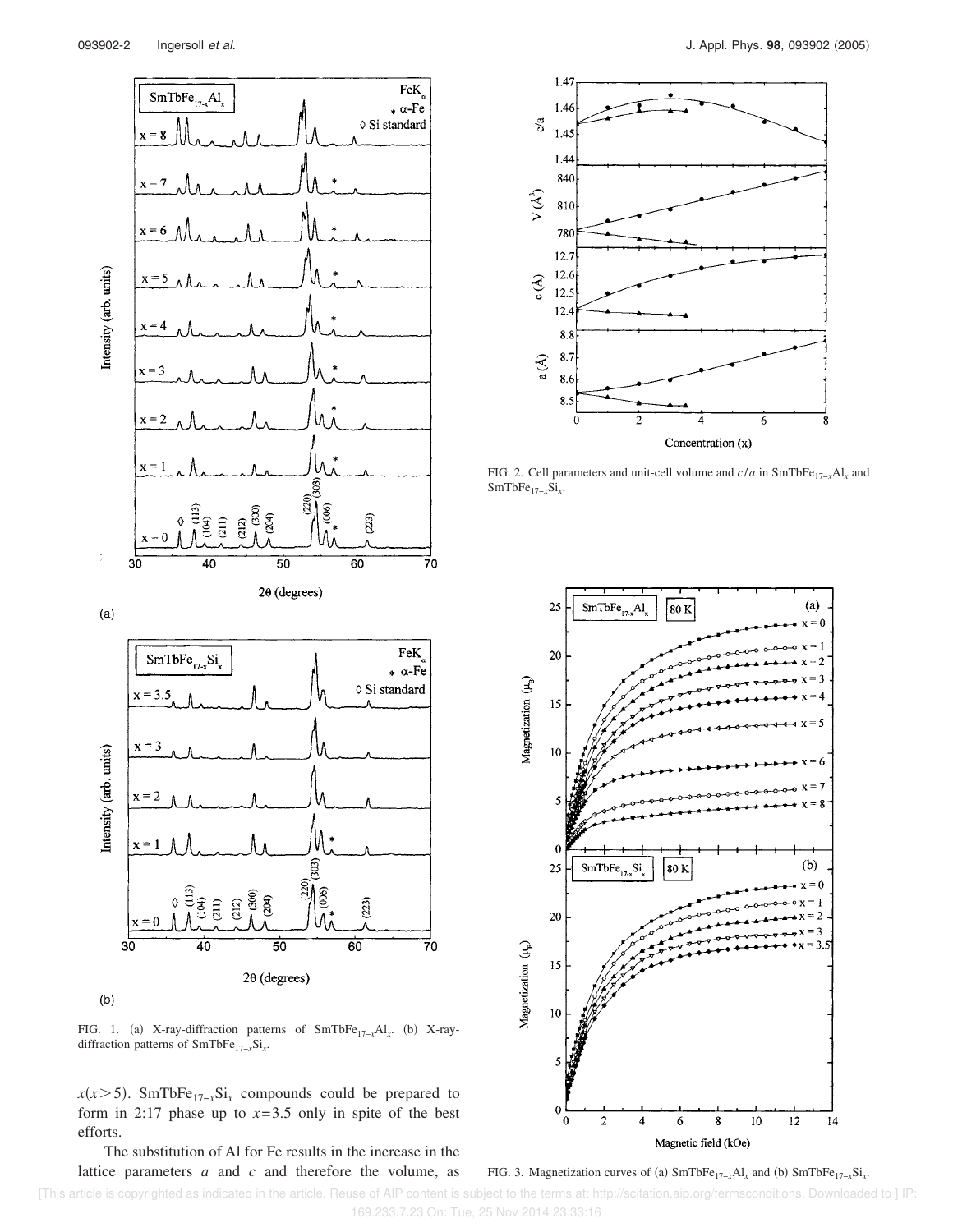

 $(b)$ 

FIG. 1. (a) X-ray-diffraction patterns of SmTbFe<sub>17-x</sub>Al<sub>x</sub>. (b) X-raydiffraction patterns of SmTbFe17−*<sup>x</sup>*Si*<sup>x</sup>* .

 $2\theta$  (degrees)

 $x(x>5)$ . SmTbFe<sub>17−*x*</sub>Si<sub>*x*</sub> compounds could be prepared to form in 2:17 phase up to  $x=3.5$  only in spite of the best efforts.

The substitution of Al for Fe results in the increase in the lattice parameters *a* and *c* and therefore the volume, as



FIG. 2. Cell parameters and unit-cell volume and *c*/*a* in SmTbFe17−*<sup>x</sup>*Al*<sup>x</sup>* and SmTbFe17−*<sup>x</sup>*Si*<sup>x</sup>* .



FIG. 3. Magnetization curves of (a)  $SmTbFe_{17-x}Al_x$  and (b)  $SmTbFe_{17-x}Si_x$ .

 [This article is copyrighted as indicated in the article. Reuse of AIP content is subject to the terms at: http://scitation.aip.org/termsconditions. Downloaded to ] IP: 169.233.7.23 On: Tue, 25 Nov 2014 23:33:16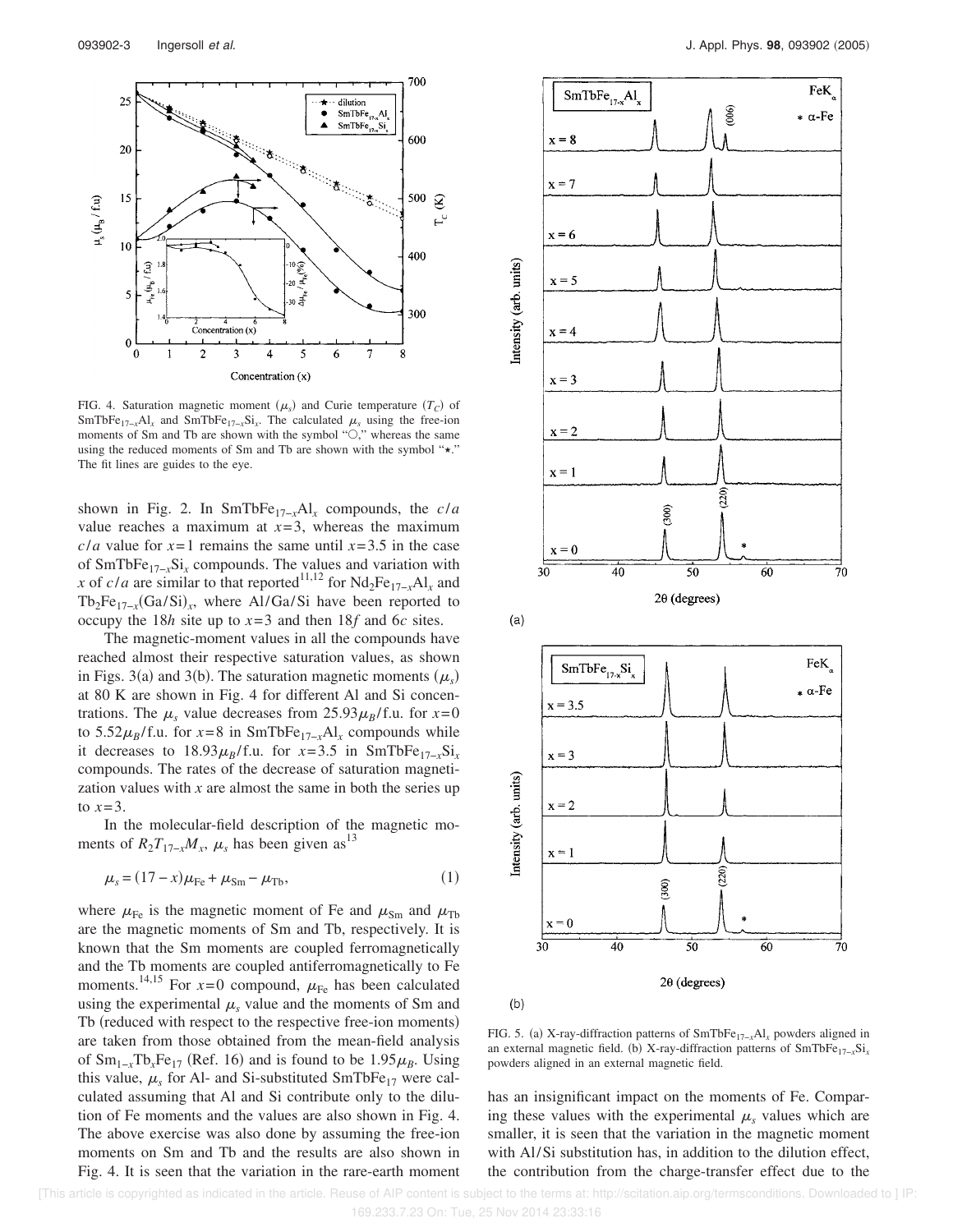

FIG. 4. Saturation magnetic moment  $(\mu_s)$  and Curie temperature  $(T_C)$  of SmTbFe<sub>17−*x*</sub>Al<sub>*x*</sub> and SmTbFe<sub>17−*x*</sub>Si<sub>*x*</sub>. The calculated  $\mu_s$  using the free-ion moments of Sm and Tb are shown with the symbol " $\bigcirc$ ," whereas the same using the reduced moments of Sm and Tb are shown with the symbol " $\star$ ." The fit lines are guides to the eye.

shown in Fig. 2. In SmTbFe17−*<sup>x</sup>*Al*<sup>x</sup>* compounds, the *c*/*a* value reaches a maximum at  $x=3$ , whereas the maximum *c/a* value for  $x=1$  remains the same until  $x=3.5$  in the case of SmTbFe17−*<sup>x</sup>*Si*<sup>x</sup>* compounds. The values and variation with *x* of *c/a* are similar to that reported<sup>11,12</sup> for  $Nd_2Fe_{17-x}Al_x$  and Tb<sub>2</sub>Fe<sub>17-*x*</sub>(Ga/Si)<sub>*x*</sub>, where Al/Ga/Si have been reported to occupy the 18*h* site up to *x*= 3 and then 18*f* and 6*c* sites.

The magnetic-moment values in all the compounds have reached almost their respective saturation values, as shown in Figs. 3(a) and 3(b). The saturation magnetic moments  $(\mu_s)$ at 80 K are shown in Fig. 4 for different Al and Si concentrations. The  $\mu_s$  value decreases from 25.93 $\mu_B$ / f.u. for  $x=0$ to 5.52 $\mu_B$ / f.u. for *x*=8 in SmTbFe<sub>17−*x*</sub>Al<sub>*x*</sub> compounds while it decreases to  $18.93\mu_B$ / f.u. for *x*=3.5 in SmTbFe<sub>17-*x*</sub>Si<sub>*x*</sub> compounds. The rates of the decrease of saturation magnetization values with  $x$  are almost the same in both the series up to  $x=3$ .

In the molecular-field description of the magnetic moments of  $R_2T_{17-x}M_x$ ,  $\mu_s$  has been given as<sup>13</sup>

$$
\mu_{s} = (17 - x)\mu_{\text{Fe}} + \mu_{\text{Sm}} - \mu_{\text{Tb}}, \tag{1}
$$

where  $\mu_{\text{Fe}}$  is the magnetic moment of Fe and  $\mu_{\text{Sm}}$  and  $\mu_{\text{Tb}}$ are the magnetic moments of Sm and Tb, respectively. It is known that the Sm moments are coupled ferromagnetically and the Tb moments are coupled antiferromagnetically to Fe moments.<sup>14,15</sup> For  $x=0$  compound,  $\mu_{\text{Fe}}$  has been calculated using the experimental  $\mu_s$  value and the moments of Sm and Tb (reduced with respect to the respective free-ion moments) are taken from those obtained from the mean-field analysis of  $Sm_{1-x}Tb_xFe_{17}$  (Ref. 16) and is found to be 1.95 $\mu_B$ . Using this value,  $\mu_s$  for Al- and Si-substituted SmTbFe<sub>17</sub> were calculated assuming that Al and Si contribute only to the dilution of Fe moments and the values are also shown in Fig. 4. The above exercise was also done by assuming the free-ion moments on Sm and Tb and the results are also shown in Fig. 4. It is seen that the variation in the rare-earth moment



FIG. 5. (a) X-ray-diffraction patterns of SmTbFe<sub>17-*x*</sub>Al<sub>*x*</sub> powders aligned in an external magnetic field. (b) X-ray-diffraction patterns of SmTbFe<sub>17-*x*</sub>Si<sub>*x*</sub></sub> powders aligned in an external magnetic field.

has an insignificant impact on the moments of Fe. Comparing these values with the experimental  $\mu_s$  values which are smaller, it is seen that the variation in the magnetic moment with Al/Si substitution has, in addition to the dilution effect, the contribution from the charge-transfer effect due to the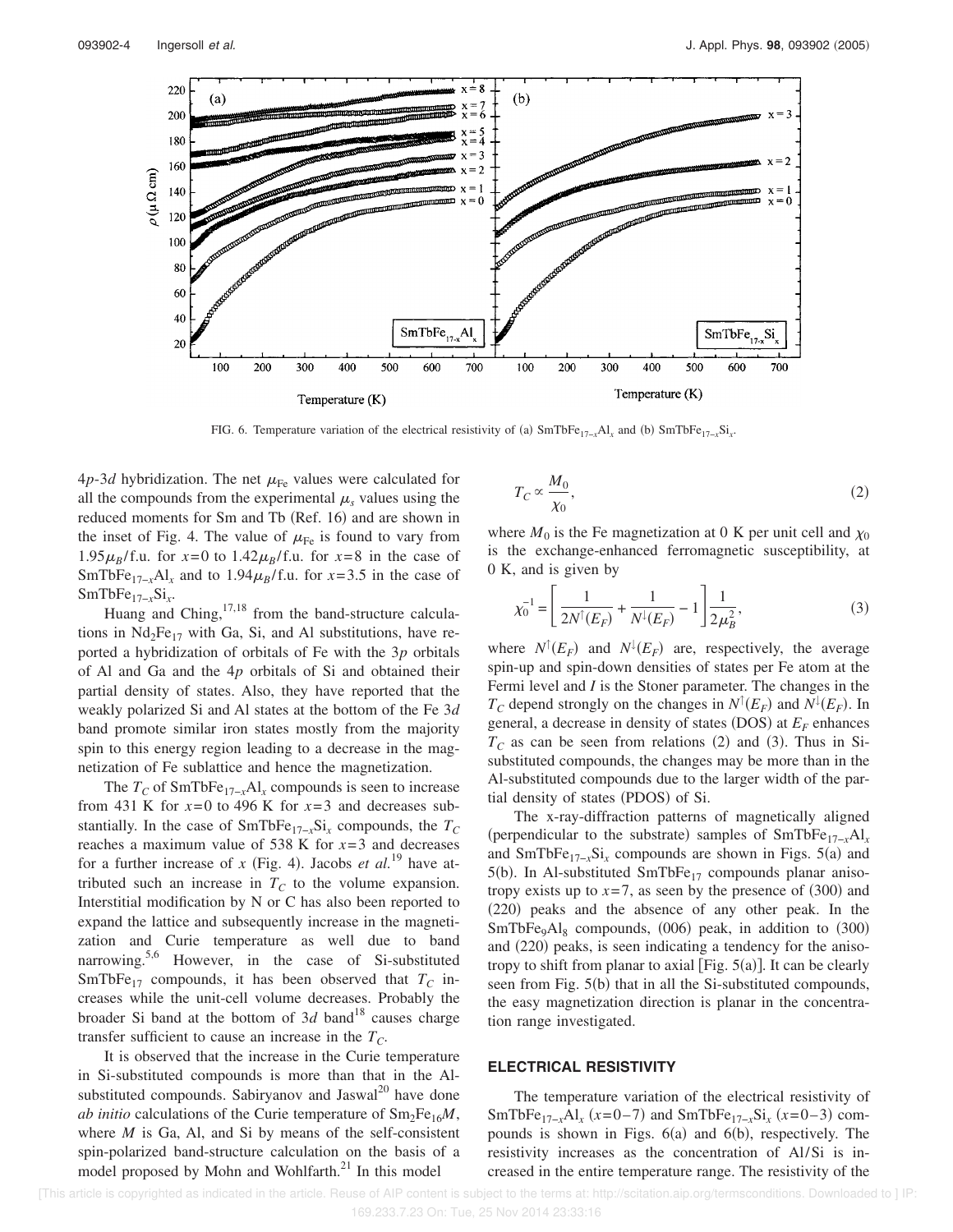

FIG. 6. Temperature variation of the electrical resistivity of (a)  $SmTbFe_{17-x}Al_x$  and (b)  $SmTbFe_{17-x}Si_x$ .

 $4p-3d$  hybridization. The net  $\mu_{\text{Fe}}$  values were calculated for all the compounds from the experimental  $\mu_s$  values using the reduced moments for Sm and Tb (Ref. 16) and are shown in the inset of Fig. 4. The value of  $\mu_{\text{Fe}}$  is found to vary from 1.95 $\mu_B$ / f.u. for  $x=0$  to 1.42 $\mu_B$ / f.u. for  $x=8$  in the case of SmTbFe<sub>17−*x*</sub>Al<sub>*x*</sub> and to 1.94 $\mu_B$ / f.u. for *x*=3.5 in the case of SmTbFe17−*<sup>x</sup>*Si*<sup>x</sup>* .

Huang and Ching, $17,18$  from the band-structure calculations in  $Nd_2Fe_{17}$  with Ga, Si, and Al substitutions, have reported a hybridization of orbitals of Fe with the 3*p* orbitals of Al and Ga and the 4*p* orbitals of Si and obtained their partial density of states. Also, they have reported that the weakly polarized Si and Al states at the bottom of the Fe 3*d* band promote similar iron states mostly from the majority spin to this energy region leading to a decrease in the magnetization of Fe sublattice and hence the magnetization.

The *T<sup>C</sup>* of SmTbFe17−*<sup>x</sup>*Al*<sup>x</sup>* compounds is seen to increase from 431 K for  $x=0$  to 496 K for  $x=3$  and decreases substantially. In the case of SmTbFe17−*<sup>x</sup>*Si*<sup>x</sup>* compounds, the *T<sup>C</sup>* reaches a maximum value of 538 K for  $x=3$  and decreases for a further increase of *x* (Fig. 4). Jacobs *et al.*<sup>19</sup> have attributed such an increase in  $T_c$  to the volume expansion. Interstitial modification by N or C has also been reported to expand the lattice and subsequently increase in the magnetization and Curie temperature as well due to band narrowing.<sup>5,6</sup> However, in the case of Si-substituted SmTbFe<sub>17</sub> compounds, it has been observed that  $T_C$  increases while the unit-cell volume decreases. Probably the broader Si band at the bottom of  $3d$  band<sup>18</sup> causes charge transfer sufficient to cause an increase in the  $T_C$ .

It is observed that the increase in the Curie temperature in Si-substituted compounds is more than that in the Alsubstituted compounds. Sabiryanov and Jaswal<sup>20</sup> have done *ab initio* calculations of the Curie temperature of  $\text{Sm}_2\text{Fe}_{16}M$ , where *M* is Ga, Al, and Si by means of the self-consistent spin-polarized band-structure calculation on the basis of a model proposed by Mohn and Wohlfarth.<sup>21</sup> In this model

$$
T_C \propto \frac{M_0}{\chi_0},\tag{2}
$$

where  $M_0$  is the Fe magnetization at 0 K per unit cell and  $\chi_0$ is the exchange-enhanced ferromagnetic susceptibility, at 0 K, and is given by

$$
\chi_0^{-1} = \left[ \frac{1}{2N^{\dagger}(E_F)} + \frac{1}{N^{\dagger}(E_F)} - 1 \right] \frac{1}{2\mu_B^2},\tag{3}
$$

where  $N^{\dagger}(E_F)$  and  $N^{\dagger}(E_F)$  are, respectively, the average spin-up and spin-down densities of states per Fe atom at the Fermi level and *I* is the Stoner parameter. The changes in the *T<sub>C</sub>* depend strongly on the changes in  $N^{\uparrow}(E_F)$  and  $N^{\downarrow}(E_F)$ . In general, a decrease in density of states (DOS) at  $E_F$  enhances  $T_c$  as can be seen from relations (2) and (3). Thus in Sisubstituted compounds, the changes may be more than in the Al-substituted compounds due to the larger width of the partial density of states (PDOS) of Si.

The x-ray-diffraction patterns of magnetically aligned (perpendicular to the substrate) samples of  $SmTbFe_{17-x}Al_x$ and  $SmTbFe_{17-x}Si_x$  compounds are shown in Figs. 5(a) and  $5(b)$ . In Al-substituted SmTbFe<sub>17</sub> compounds planar anisotropy exists up to  $x=7$ , as seen by the presence of  $(300)$  and (220) peaks and the absence of any other peak. In the  $SmTbFe<sub>9</sub>Al<sub>8</sub>$  compounds, (006) peak, in addition to (300) and (220) peaks, is seen indicating a tendency for the anisotropy to shift from planar to axial [Fig.  $5(a)$ ]. It can be clearly seen from Fig. 5(b) that in all the Si-substituted compounds, the easy magnetization direction is planar in the concentration range investigated.

## **ELECTRICAL RESISTIVITY**

The temperature variation of the electrical resistivity of SmTbFe<sub>17−*x*</sub>Al<sub>*x*</sub> (*x*=0–7) and SmTbFe<sub>17−*x*</sub>Si<sub>*x*</sub> (*x*=0–3) compounds is shown in Figs.  $6(a)$  and  $6(b)$ , respectively. The resistivity increases as the concentration of Al/Si is increased in the entire temperature range. The resistivity of the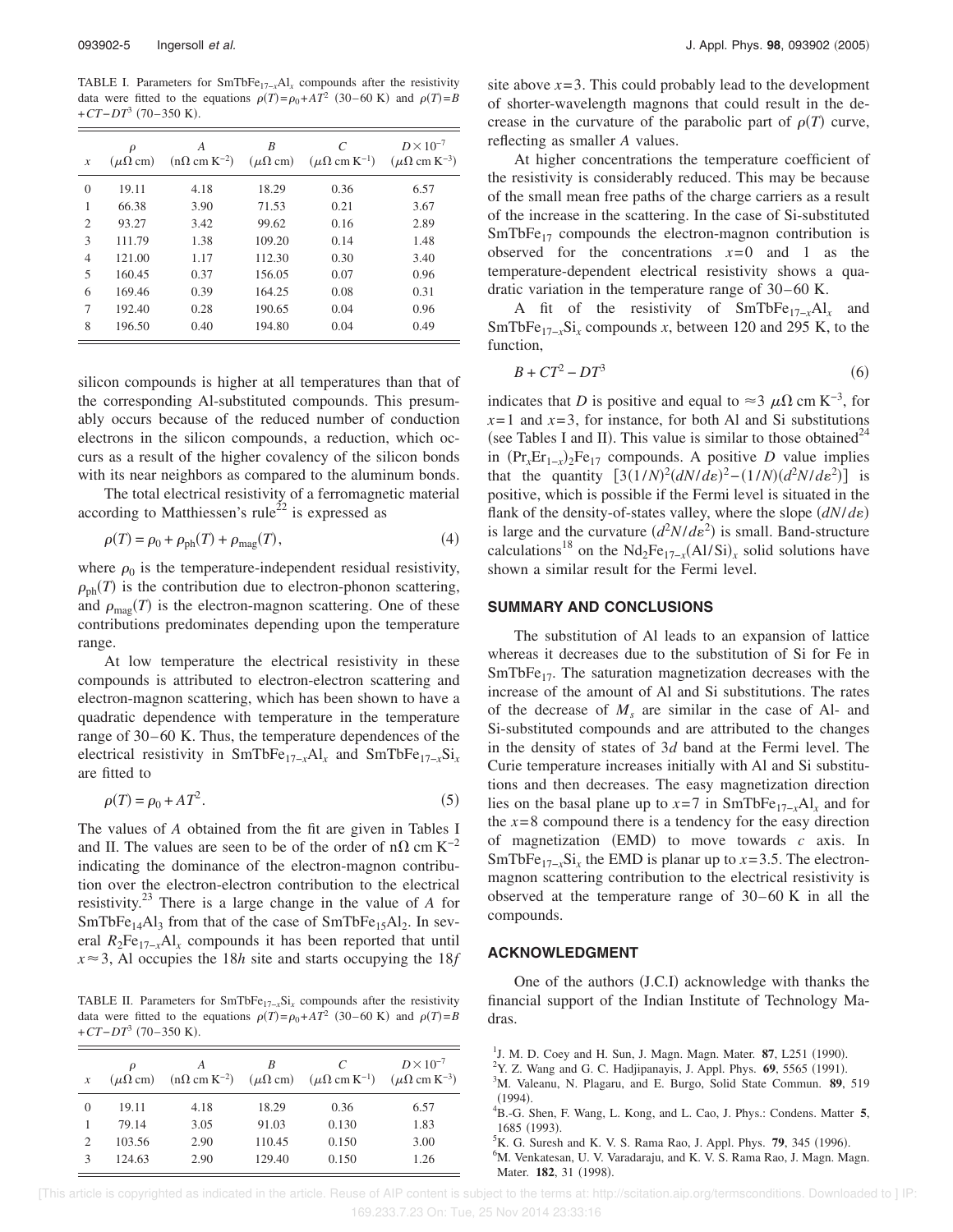TABLE I. Parameters for SmTbFe<sub>17−*x*</sub>Al<sub>*x*</sub> compounds after the resistivity data were fitted to the equations  $\rho(T) = \rho_0 + AT^2$  (30–60 K) and  $\rho(T) = B$ +*CT*−*DT*<sup>3</sup> (70–350 K).

| $\boldsymbol{\mathcal{X}}$ | $\rho$<br>$(\mu\Omega \text{ cm})$ | А<br>$(n\Omega \text{ cm K}^{-2})$ | B<br>$(\mu\Omega \text{ cm})$ | C<br>$(\mu\Omega \text{ cm K}^{-1})$ | $D \times 10^{-7}$<br>$(\mu\Omega \text{ cm K}^{-3})$ |
|----------------------------|------------------------------------|------------------------------------|-------------------------------|--------------------------------------|-------------------------------------------------------|
| $\theta$                   | 19.11                              | 4.18                               | 18.29                         | 0.36                                 | 6.57                                                  |
| 1                          | 66.38                              | 3.90                               | 71.53                         | 0.21                                 | 3.67                                                  |
| $\overline{2}$             | 93.27                              | 3.42                               | 99.62                         | 0.16                                 | 2.89                                                  |
| 3                          | 111.79                             | 1.38                               | 109.20                        | 0.14                                 | 1.48                                                  |
| $\overline{4}$             | 121.00                             | 1.17                               | 112.30                        | 0.30                                 | 3.40                                                  |
| 5                          | 160.45                             | 0.37                               | 156.05                        | 0.07                                 | 0.96                                                  |
| 6                          | 169.46                             | 0.39                               | 164.25                        | 0.08                                 | 0.31                                                  |
| 7                          | 192.40                             | 0.28                               | 190.65                        | 0.04                                 | 0.96                                                  |
| 8                          | 196.50                             | 0.40                               | 194.80                        | 0.04                                 | 0.49                                                  |

silicon compounds is higher at all temperatures than that of the corresponding Al-substituted compounds. This presumably occurs because of the reduced number of conduction electrons in the silicon compounds, a reduction, which occurs as a result of the higher covalency of the silicon bonds with its near neighbors as compared to the aluminum bonds.

The total electrical resistivity of a ferromagnetic material according to Matthiessen's rule<sup>22</sup> is expressed as

$$
\rho(T) = \rho_0 + \rho_{\rm ph}(T) + \rho_{\rm mag}(T),\tag{4}
$$

where  $\rho_0$  is the temperature-independent residual resistivity,  $\rho_{ph}(T)$  is the contribution due to electron-phonon scattering, and  $\rho_{\text{mag}}(T)$  is the electron-magnon scattering. One of these contributions predominates depending upon the temperature range.

At low temperature the electrical resistivity in these compounds is attributed to electron-electron scattering and electron-magnon scattering, which has been shown to have a quadratic dependence with temperature in the temperature range of 30–60 K. Thus, the temperature dependences of the electrical resistivity in SmTbFe17−*<sup>x</sup>*Al*<sup>x</sup>* and SmTbFe17−*<sup>x</sup>*Si*<sup>x</sup>* are fitted to

$$
\rho(T) = \rho_0 + AT^2. \tag{5}
$$

The values of *A* obtained from the fit are given in Tables I and II. The values are seen to be of the order of n $\Omega$  cm K<sup>-2</sup> indicating the dominance of the electron-magnon contribution over the electron-electron contribution to the electrical resistivity.<sup>23</sup> There is a large change in the value of *A* for  $SmTbFe<sub>14</sub>Al<sub>3</sub>$  from that of the case of  $SmTbFe<sub>15</sub>Al<sub>2</sub>$ . In several  $R_2Fe_{17-x}Al_x$  compounds it has been reported that until  $x \approx 3$ , Al occupies the 18*h* site and starts occupying the 18*f* 

TABLE II. Parameters for SmTbFe17−*<sup>x</sup>*Si*<sup>x</sup>* compounds after the resistivity data were fitted to the equations  $\rho(T) = \rho_0 + AT^2$  (30–60 K) and  $\rho(T) = B$ +*CT*−*DT*<sup>3</sup> (70–350 K).

| $\mathcal{X}$  | ρ<br>$(\mu\Omega \text{ cm})$ | A    | R      | C<br>$(n\Omega \text{ cm K}^{-2})$ $(\mu\Omega \text{ cm})$ $(\mu\Omega \text{ cm K}^{-1})$ | $D \times 10^{-7}$<br>$(\mu\Omega \text{ cm K}^{-3})$ |
|----------------|-------------------------------|------|--------|---------------------------------------------------------------------------------------------|-------------------------------------------------------|
| $\theta$       | 19.11                         | 4.18 | 18.29  | 0.36                                                                                        | 6.57                                                  |
|                | 79.14                         | 3.05 | 91.03  | 0.130                                                                                       | 1.83                                                  |
| $\overline{2}$ | 103.56                        | 2.90 | 110.45 | 0.150                                                                                       | 3.00                                                  |
| $\mathcal{R}$  | 124.63                        | 2.90 | 129.40 | 0.150                                                                                       | 1.26                                                  |

site above  $x = 3$ . This could probably lead to the development of shorter-wavelength magnons that could result in the decrease in the curvature of the parabolic part of  $\rho(T)$  curve, reflecting as smaller *A* values.

At higher concentrations the temperature coefficient of the resistivity is considerably reduced. This may be because of the small mean free paths of the charge carriers as a result of the increase in the scattering. In the case of Si-substituted  $SmTbFe<sub>17</sub>$  compounds the electron-magnon contribution is observed for the concentrations  $x=0$  and 1 as the temperature-dependent electrical resistivity shows a quadratic variation in the temperature range of  $30-60$  K.

A fit of the resistivity of SmTbFe17−*x*Al*<sup>x</sup>* and SmTbFe<sub>17−*x*</sub>Si<sub>*x*</sub> compounds *x*, between 120 and 295 K, to the function,

$$
B + CT^2 - DT^3 \tag{6}
$$

indicates that *D* is positive and equal to ≈3  $\mu\Omega$  cm K<sup>-3</sup>, for  $x=1$  and  $x=3$ , for instance, for both Al and Si substitutions (see Tables I and II). This value is similar to those obtained<sup>24</sup> in  $(\Pr_{x} \text{Er}_{1-x})_2 \text{Fe}_{17}$  compounds. A positive *D* value implies that the quantity  $[3(1/N)^2(dN/d\varepsilon)^2 - (1/N)(d^2N/d\varepsilon^2)]$  is positive, which is possible if the Fermi level is situated in the flank of the density-of-states valley, where the slope  $(dN/d\varepsilon)$ is large and the curvature  $(d^2N/d\varepsilon^2)$  is small. Band-structure calculations<sup>18</sup> on the Nd<sub>2</sub>Fe<sub>17-*x*</sub>(Al/Si)<sub>*x*</sub> solid solutions have shown a similar result for the Fermi level.

## **SUMMARY AND CONCLUSIONS**

The substitution of Al leads to an expansion of lattice whereas it decreases due to the substitution of Si for Fe in  $SmTbFe<sub>17</sub>$ . The saturation magnetization decreases with the increase of the amount of Al and Si substitutions. The rates of the decrease of  $M_s$  are similar in the case of Al- and Si-substituted compounds and are attributed to the changes in the density of states of 3*d* band at the Fermi level. The Curie temperature increases initially with Al and Si substitutions and then decreases. The easy magnetization direction lies on the basal plane up to  $x=7$  in SmTbFe<sub>17−*x*</sub>Al<sub>*x*</sub> and for the  $x=8$  compound there is a tendency for the easy direction of magnetization  $(EMD)$  to move towards  $c$  axis. In SmTbFe<sub>17-*x*</sub>Si<sub>*x*</sub> the EMD is planar up to *x*=3.5. The electronmagnon scattering contribution to the electrical resistivity is observed at the temperature range of  $30-60$  K in all the compounds.

## **ACKNOWLEDGMENT**

One of the authors (J.C.I) acknowledge with thanks the financial support of the Indian Institute of Technology Madras.

<sup>6</sup>M. Venkatesan, U. V. Varadaraju, and K. V. S. Rama Rao, J. Magn. Magn. Mater. 182, 31 (1998).

 [This article is copyrighted as indicated in the article. Reuse of AIP content is subject to the terms at: http://scitation.aip.org/termsconditions. Downloaded to ] IP: 169.233.7.23 On: Tue, 25 Nov 2014 23:33:16

<sup>&</sup>lt;sup>1</sup>J. M. D. Coey and H. Sun, J. Magn. Magn. Mater. 87, L251 (1990).

 $^{2}$ Y. Z. Wang and G. C. Hadjipanayis, J. Appl. Phys.  $69$ , 5565 (1991).

<sup>3</sup>M. Valeanu, N. Plagaru, and E. Burgo, Solid State Commun. **89**, 519  $(1994).$ 

<sup>4</sup>B.-G. Shen, F. Wang, L. Kong, and L. Cao, J. Phys.: Condens. Matter **5**, 1685 (1993).

<sup>&</sup>lt;sup>5</sup>K. G. Suresh and K. V. S. Rama Rao, J. Appl. Phys. **79**, 345 (1996).